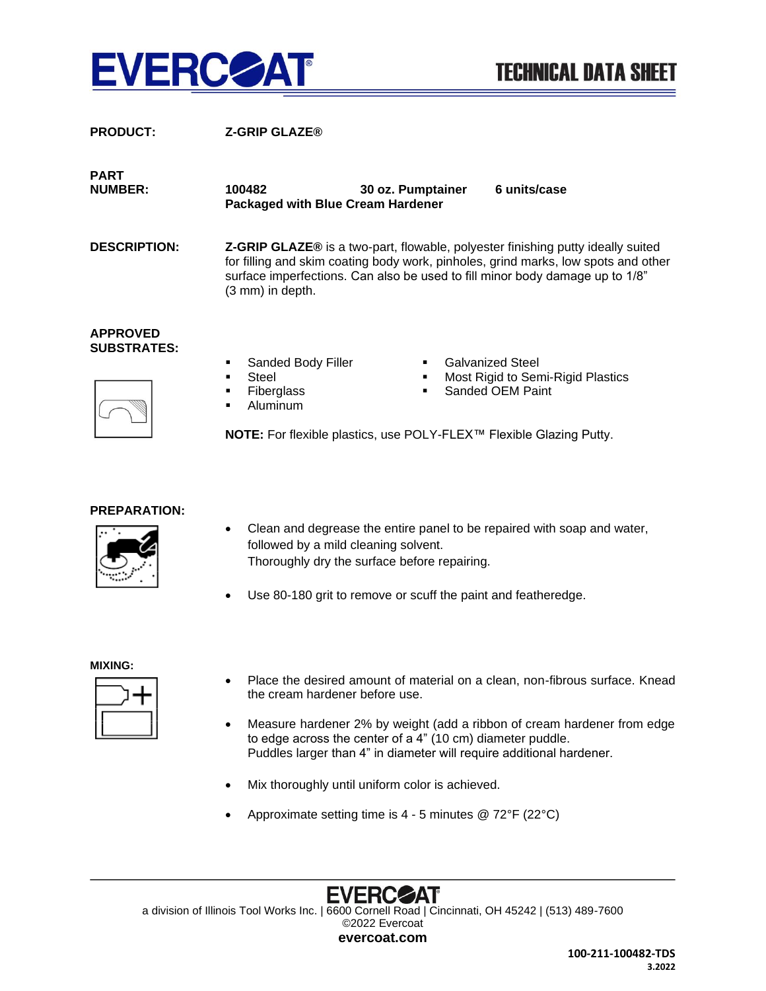

| <b>PRODUCT:</b>                       | <b>Z-GRIP GLAZE®</b>                                                                                                                                                                                                                                                             |
|---------------------------------------|----------------------------------------------------------------------------------------------------------------------------------------------------------------------------------------------------------------------------------------------------------------------------------|
| <b>PART</b><br><b>NUMBER:</b>         | 6 units/case<br>100482<br>30 oz. Pumptainer<br><b>Packaged with Blue Cream Hardener</b>                                                                                                                                                                                          |
| <b>DESCRIPTION:</b>                   | <b>Z-GRIP GLAZE®</b> is a two-part, flowable, polyester finishing putty ideally suited<br>for filling and skim coating body work, pinholes, grind marks, low spots and other<br>surface imperfections. Can also be used to fill minor body damage up to 1/8"<br>(3 mm) in depth. |
| <b>APPROVED</b><br><b>SUBSTRATES:</b> | <b>Galvanized Steel</b><br>Sanded Body Filler<br>Steel<br>Most Rigid to Semi-Rigid Plastics<br>٠<br>Sanded OEM Paint<br><b>Fiberglass</b><br>Aluminum<br>NOTE: For flexible plastics, use POLY-FLEX™ Flexible Glazing Putty.                                                     |

## **PREPARATION:**



- Clean and degrease the entire panel to be repaired with soap and water, followed by a mild cleaning solvent. Thoroughly dry the surface before repairing.
- Use 80-180 grit to remove or scuff the paint and featheredge.

## **MIXING:**



- Place the desired amount of material on a clean, non-fibrous surface. Knead the cream hardener before use.
- Measure hardener 2% by weight (add a ribbon of cream hardener from edge to edge across the center of a 4" (10 cm) diameter puddle. Puddles larger than 4" in diameter will require additional hardener.
- Mix thoroughly until uniform color is achieved.
- Approximate setting time is 4 5 minutes @ 72°F (22°C)

**EVERC** ZДT a division of Illinois Tool Works Inc. | 6600 Cornell Road | Cincinnati, OH 45242 | (513) 489-7600 ©2022 Evercoat **evercoat.com**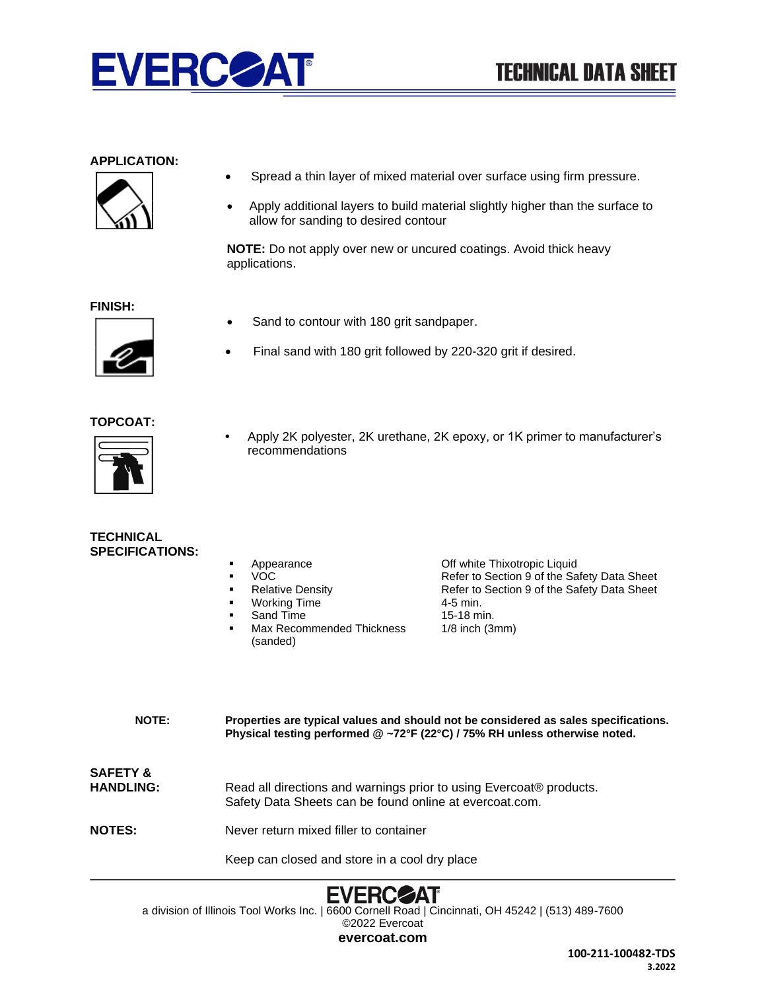

## **APPLICATION:**



- Spread a thin layer of mixed material over surface using firm pressure.
- Apply additional layers to build material slightly higher than the surface to allow for sanding to desired contour

**NOTE:** Do not apply over new or uncured coatings. Avoid thick heavy applications.

**FINISH:**



- Sand to contour with 180 grit sandpaper.
- Final sand with 180 grit followed by 220-320 grit if desired.

## **TOPCOAT:**



**•** Apply 2K polyester, 2K urethane, 2K epoxy, or 1K primer to manufacturer's recommendations

| TECHNICAL              |  |
|------------------------|--|
| <b>SPECIFICATIONS:</b> |  |

|  | Appearance |
|--|------------|
|--|------------|

- **VOC**
- **Relative Density**
- **Working Time**
- **Sand Time**
- Max Recommended Thickness (sanded)

Off white Thixotropic Liquid Refer to Section 9 of the Safety Data Sheet Refer to Section 9 of the Safety Data Sheet 4-5 min. 15-18 min. 1/8 inch (3mm)

**NOTE: Properties are typical values and should not be considered as sales specifications. Physical testing performed @ ~72°F (22°C) / 75% RH unless otherwise noted. SAFETY &** HANDLING: Read all directions and warnings prior to using Evercoat® products. Safety Data Sheets can be found online at evercoat.com. **NOTES:** Never return mixed filler to container Keep can closed and store in a cool dry place



a division of Illinois Tool Works Inc. | 6600 Cornell Road | Cincinnati, OH 45242 | (513) 489-7600 ©2022 Evercoat

**evercoat.com**

**100-211-100482-TDS 3.2022**